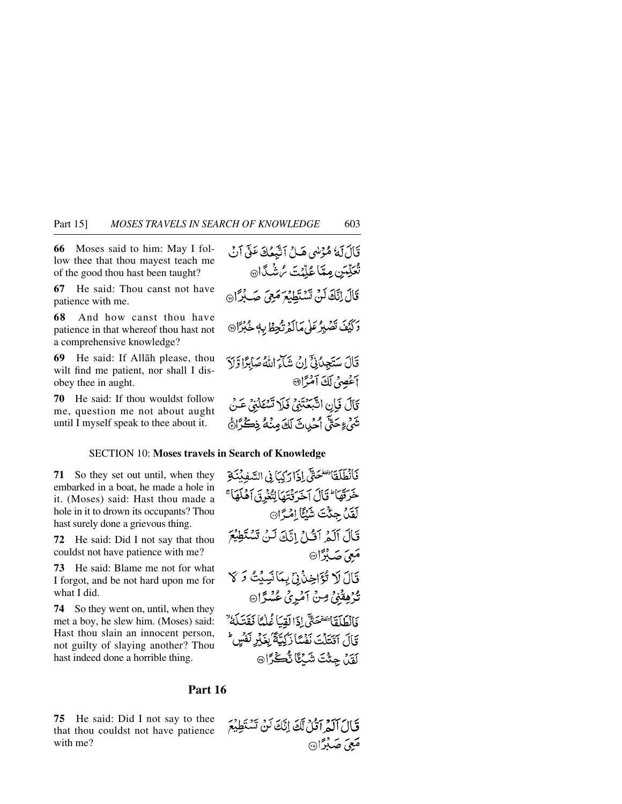**66** Moses said to him: May I follow thee that thou mayest teach me of the good thou hast been taught?

**67** He said: Thou canst not have patience with me.

**68** And how canst thou have patience in that whereof thou hast not a comprehensive knowledge?

**69** He said: If Allåh please, thou wilt find me patient, nor shall I disobey thee in aught.

**70** He said: If thou wouldst follow me, question me not about aught until I myself speak to thee about it.

### SECTION 10: **Moses travels in Search of Knowledge**

**71** So they set out until, when they embarked in a boat, he made a hole in it. (Moses) said: Hast thou made a hole in it to drown its occupants? Thou hast surely done a grievous thing.

**72** He said: Did I not say that thou couldst not have patience with me?

**73** He said: Blame me not for what I forgot, and be not hard upon me for what I did.

**74** So they went on, until, when they met a boy, he slew him. (Moses) said: Hast thou slain an innocent person, not guilty of slaying another? Thou hast indeed done a horrible thing.

فَأَنْطَلَقَاتِنَفَتَحَتَّى إِذَا رَكِبَا فِي السَّفِيئِنَةِ خَرَقَهَا أَتَالَ آخَرَ قُتَهَا لِتُغْرِقَ آهُلَهَا ۚ لَقَدْ جِئَتَ شَيْئًا اِمْرًا۞ قَالَ آلَهُ آَتُيْلُ اتَّكَ لَنْ تَسْتَطِيْعَ مَعِيَ جَدِبْرَا® قَالَ لَا تُؤَاخِذُنِي بِمَانَسِيْتُ وَ لَا تُرُهِقَٰنِىۡ مِنۡ آمَٰرِیۡ عُسۡوَّا فَأَنْطَلَقَانِقَقَحَتَّي إِذَا لَقِيَا غُلْمًا فَقَدَلَهُ ۚ تَالَ اقْتَلْتَ نَفْسًا زَكِيّةً ْبِغَيْرِ نَفْسٍ لَقَدْ حِثْتَ شَبْكًا نُكْتُرَا®

## **Part 16**

**75** He said: Did I not say to thee that thou couldst not have patience with me?

قَالَ آلَمْ آَتُلُ لَّكَ إِنَّكَ لَنْ تَسْتَطِيْعَ مَعِيَ جَيِدْدًا۞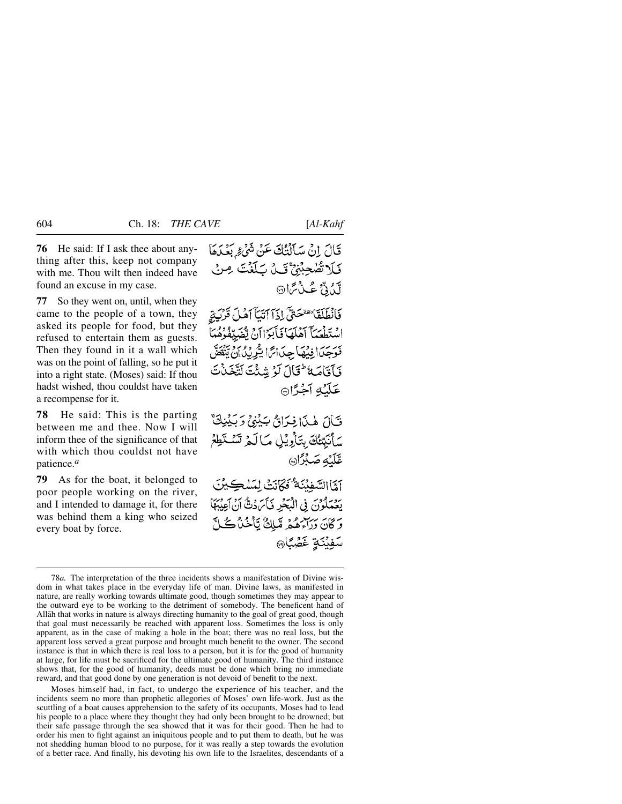**76** He said: If I ask thee about anything after this, keep not company with me. Thou wilt then indeed have found an excuse in my case.

**77** So they went on, until, when they came to the people of a town, they asked its people for food, but they refused to entertain them as guests. Then they found in it a wall which was on the point of falling, so he put it into a right state. (Moses) said: If thou hadst wished, thou couldst have taken a recompense for it.

**78** He said: This is the parting between me and thee. Now I will inform thee of the significance of that with which thou couldst not have patience.*<sup>a</sup>*

**79** As for the boat, it belonged to poor people working on the river, and I intended to damage it, for there was behind them a king who seized every boat by force.

قَالَ إِنْ سَآلَتْكَ عَنْ شَيْءٌ بَعْدَهَا فَلَا تُصْحِبْنِيٌّ قَلْ بَلَغْتَ مِنْ لَكُدُنٌ عُبِّدُ ثَرَا۞

فَأَنْطَلَقَانَ هَمَى الْمَاآتِيَآ آهُلَ قَرْبَيقِ اسْتَطْعَيَاً آهُلَهَا فَأْبَوْاأَنْ يُفْهَدِّ فَوَجَدَا فِيْهَا جِدَائِمَا يُّرِيْدُانِ يَّهْ فَأَقَامَهُ عَقَالَ لَوْ شِئْتَ لَتَّخَذُتَ عَلَيْهِ أَجْزًا

فَبَالَ هٰذَا فِيَرَاقُ بِكِبْنِيٍّ وَبِكِيْنِيٍّ سَأَنَبْتُكَ بِتَأْرِيْلِ مَالَمْ تَسْتَطِعُ عَّلَيْهِ صَبْرًا®

آمَّا السَّفِيْنَةُ كَتَانَتْ لِمَسْكِيْنَ يَةِ يَسْمَلُونَ فِي الْمَكْرِ فَيَأْسَ دُنَّ أَنْ أَعِيْبَهَآ وَكَانَ دِرَاءِهُمْ مِّبَلِّكٌ يَّأْخُذُكُمْ لَ سَفِيْنَةٍ غَضَّبًا®

Moses himself had, in fact, to undergo the experience of his teacher, and the incidents seem no more than prophetic allegories of Moses' own life-work. Just as the scuttling of a boat causes apprehension to the safety of its occupants, Moses had to lead his people to a place where they thought they had only been brought to be drowned; but their safe passage through the sea showed that it was for their good. Then he had to order his men to fight against an iniquitous people and to put them to death, but he was not shedding human blood to no purpose, for it was really a step towards the evolution of a better race. And finally, his devoting his own life to the Israelites, descendants of a

<sup>78</sup>*a.* The interpretation of the three incidents shows a manifestation of Divine wisdom in what takes place in the everyday life of man. Divine laws, as manifested in nature, are really working towards ultimate good, though sometimes they may appear to the outward eye to be working to the detriment of somebody. The beneficent hand of Allåh that works in nature is always directing humanity to the goal of great good, though that goal must necessarily be reached with apparent loss. Sometimes the loss is only apparent, as in the case of making a hole in the boat; there was no real loss, but the apparent loss served a great purpose and brought much benefit to the owner. The second instance is that in which there is real loss to a person, but it is for the good of humanity at large, for life must be sacrificed for the ultimate good of humanity. The third instance shows that, for the good of humanity, deeds must be done which bring no immediate reward, and that good done by one generation is not devoid of benefit to the next.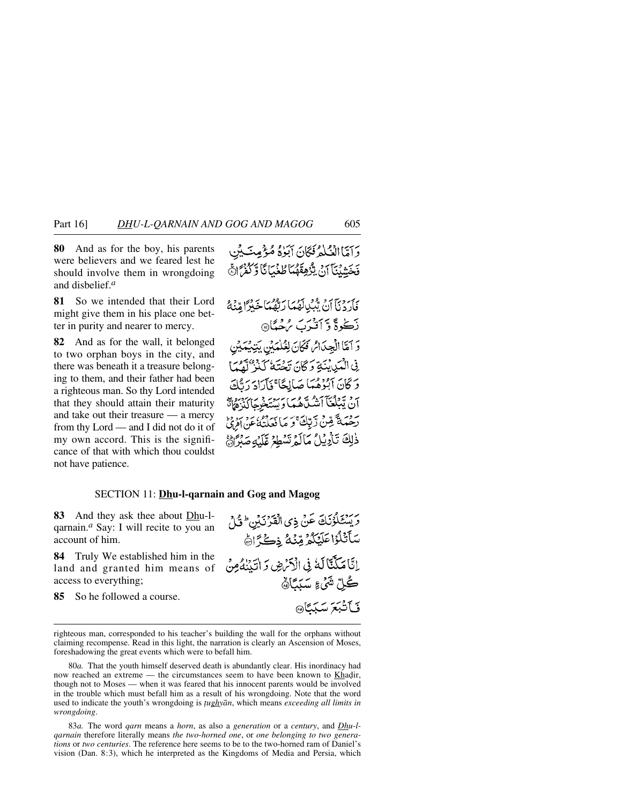**80** And as for the boy, his parents were believers and we feared lest he should involve them in wrongdoing and disbelief.*<sup>a</sup>*

**81** So we intended that their Lord might give them in his place one better in purity and nearer to mercy.

**82** And as for the wall, it belonged to two orphan boys in the city, and there was beneath it a treasure belonging to them, and their father had been a righteous man. So thy Lord intended that they should attain their maturity and take out their treasure — a mercy from thy Lord — and I did not do it of my own accord. This is the significance of that with which thou couldst not have patience.

# نِيّ دِيّ بِنْ مَيْ لَعُمْهَا رَبُّهُمْاً خَبْرًا مِّنْهُمْ بِّڪُوةً وَ أَفْيَرَبَ مُرْجَبِئَا۞ وَ آمَّا الْجِدَاسُ فَكَانَ لِعُلْمَيْنِ يَتِنِيَّمَيْنِ فِي الْمَبَايِنَةِ وَكَانَ يَحْتَهُ كَذَبَ لَقِيمًا وَكَانَ آبُوْهُمَا صَالِحًا ۚ فَأَرَادَ دَتُّكَ رد يَّبْكُغَّآ أَشْلَّاهُمَا وَيَسْتَخْرِجَاكَذِهَاتَّ روسم قِينْ دَبّائِيّ وَ مَا فَعَلَتْهُ عَنِ الْمَرِيّ ذٰلِكَ تَأْدِيْلُ مَالَمُ تَسْطِعُ عَلَيْهِ صَنْرًاهُمْ

### SECTION 11: **Dhu-l-qarnain and Gog and Magog**

**83** And they ask thee about Dhu-lqarnain.*<sup>a</sup>* Say: I will recite to you an account of him.

**84** Truly We established him in the land and granted him means of access to everything;

**85** So he followed a course.

رَ يَسْتَلَوْنَكَ عَنْ ذِى الْقَرْنَيْنِ \* قُلْ سَأَتْلُزُاعَلَيْكُمُ مِّنْهُ ذِكْرًاهُ إِنَّا مَلَّكَّاً لَهُ فِي الْآَرْضِ وَ اتِّيْنَهُ مِنْ ڪُلِّ شَيْءِ سَنَ*تَ*اَهُ فَبَآتَبَعَ سَبَيَّاهِ

righteous man, corresponded to his teacher's building the wall for the orphans without claiming recompense. Read in this light, the narration is clearly an Ascension of Moses, foreshadowing the great events which were to befall him.

80*a.* That the youth himself deserved death is abundantly clear. His inordinacy had now reached an extreme — the circumstances seem to have been known to Khadir, though not to Moses — when it was feared that his innocent parents would be involved in the trouble which must befall him as a result of his wrongdoing. Note that the word used to indicate the youth's wrongdoing is *∆ughyån*, which means *exceeding all limits in wrongdoing*.

83*a.* The word *qarn* means a *horn*, as also a *generation* or a *century*, and *Dhu-lqarnain* therefore literally means *the two-horned one*, or *one belonging to two generations* or *two centuries*. The reference here seems to be to the two-horned ram of Daniel's vision (Dan. 8:3), which he interpreted as the Kingdoms of Media and Persia, which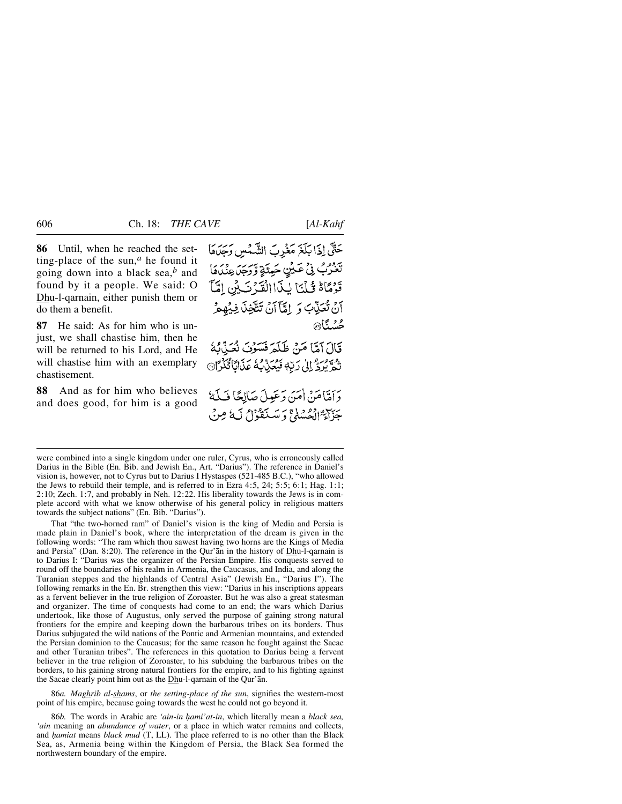**86** Until, when he reached the setting-place of the sun, $<sup>a</sup>$  he found it</sup> going down into a black sea,*<sup>b</sup>* and found by it a people. We said: O Dhu-l-qarnain, either punish them or do them a benefit.

**87** He said: As for him who is unjust, we shall chastise him, then he will be returned to his Lord, and He will chastise him with an exemplary chastisement.

**88** And as for him who believes and does good, for him is a good حَتَّى إِذَا بَلَغَ مَغْرِبَ الشَّمْسِ وَجَدَهَا تَعْرُبُ فِي عَيْنٍ حَيِّنَةٍ وَّرَجَلَ عِنْدُهَا قَوْمًاهُ قُلْنَا لِذَاالْقَدْ نَبِينَ إِمَّاً أَنْ تُعَذِّبَ وَ إِمَّآ أَنْ تَتَّخِذَ فِيُهِمْ محسْنگا@

قَالَ آمَّا مَنْ ظَلَّمَ فَسَوْنَ نُعَنَّوُنَ تَحْرَّيْرِدَّ إِلَىٰ رَبِّهٖ فَيُعَنِّ بُعُ عَذَابًا تُكَرُّا@

وَأَهَّامَنْ أُمَيَّ وَعَبِيلَ صَآلِهًا فَبِلَةً جَزَاءٌ الْجُسْنَىِّ وَسَنَقَوْلُ لَهُ مِنْ

were combined into a single kingdom under one ruler, Cyrus, who is erroneously called Darius in the Bible (En. Bib. and Jewish En., Art. "Darius"). The reference in Daniel's vision is, however, not to Cyrus but to Darius I Hystaspes (521-485 B.C.), "who allowed the Jews to rebuild their temple, and is referred to in Ezra 4:5, 24; 5:5; 6:1; Hag. 1:1; 2:10; Zech. 1:7, and probably in Neh. 12:22. His liberality towards the Jews is in complete accord with what we know otherwise of his general policy in religious matters towards the subject nations" (En. Bib. "Darius").

That "the two-horned ram" of Daniel's vision is the king of Media and Persia is made plain in Daniel's book, where the interpretation of the dream is given in the following words: "The ram which thou sawest having two horns are the Kings of Media and Persia" (Dan. 8:20). The reference in the Qur'ån in the history of Dhu-l-qarnain is to Darius I: "Darius was the organizer of the Persian Empire. His conquests served to round off the boundaries of his realm in Armenia, the Caucasus, and India, and along the Turanian steppes and the highlands of Central Asia" (Jewish En., "Darius I"). The following remarks in the En. Br. strengthen this view: "Darius in his inscriptions appears as a fervent believer in the true religion of Zoroaster. But he was also a great statesman and organizer. The time of conquests had come to an end; the wars which Darius undertook, like those of Augustus, only served the purpose of gaining strong natural frontiers for the empire and keeping down the barbarous tribes on its borders. Thus Darius subjugated the wild nations of the Pontic and Armenian mountains, and extended the Persian dominion to the Caucasus; for the same reason he fought against the Sacae and other Turanian tribes". The references in this quotation to Darius being a fervent believer in the true religion of Zoroaster, to his subduing the barbarous tribes on the borders, to his gaining strong natural frontiers for the empire, and to his fighting against the Sacae clearly point him out as the Dhu-l-qarnain of the Qur'ån.

86*a. Maghrib al-shams*, or *the setting-place of the sun*, signifies the western-most point of his empire, because going towards the west he could not go beyond it.

86*b.* The words in Arabic are *'ain-in ƒami'at-in*, which literally mean a *black sea, 'ain* meaning an *abundance of water*, or a place in which water remains and collects, and *hamiat* means *black mud* (T, LL). The place referred to is no other than the Black Sea, as, Armenia being within the Kingdom of Persia, the Black Sea formed the northwestern boundary of the empire.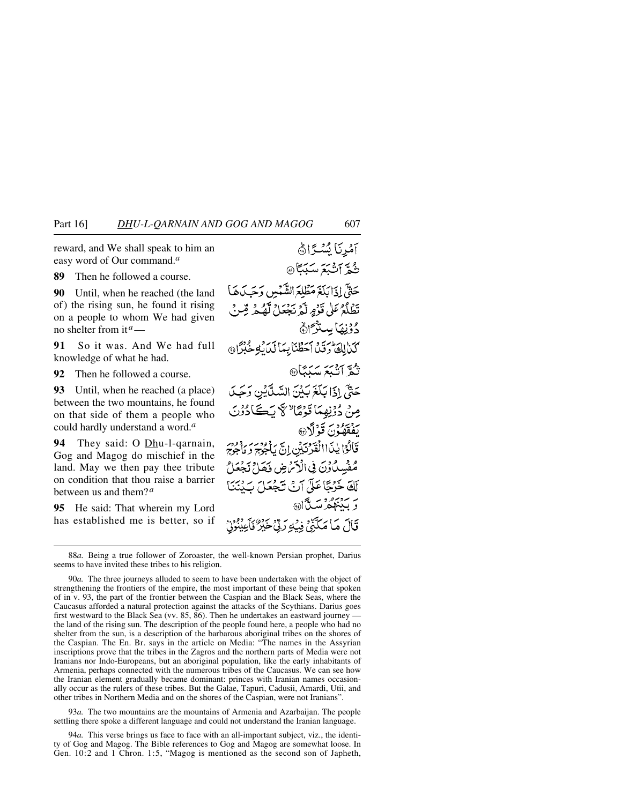reward, and We shall speak to him an easy word of Our command.*<sup>a</sup>*

**89** Then he followed a course.

**90** Until, when he reached (the land of) the rising sun, he found it rising on a people to whom We had given no shelter from it*a*—

**91** So it was. And We had full knowledge of what he had.

**92** Then he followed a course.

**93** Until, when he reached (a place) between the two mountains, he found on that side of them a people who could hardly understand a word.*<sup>a</sup>*

**94** They said: O Dhu-l-qarnain, Gog and Magog do mischief in the land. May we then pay thee tribute on condition that thou raise a barrier between us and them?*<sup>a</sup>*

**95** He said: That wherein my Lord has established me is better, so if

آمُرِنَا يُسْرًاهُ ثُمَّ آَثَبَعَ سَبَبَّا حَتَّيْ إِذَابَلَغَ مَطْلَعَ الشَّبْسِ وَحَسَدَهَا تَطْلَعُ عَلَى قَوْمٍ لَّهُ نَجْعَلْ لَّهُ مِمْ قِبْنُ دُوْنِهَا بِسِنْدُّ اِنَّ كذالة رقد أحَظْنَابِهَا لَدَيْهِ خُبْرًا @ دوية <del>ا</del>لمجمعة مسكنگا حَتَّىٰ إِذَا بَلَغَ بَيْنَ السَّيَّايْنِ وَجَبَ مِنْ دُوْنِهِمَا تَوْمَا لَا يَكَادُوْنَ بِيْقَقِيُوْنَ قَوْلَا<sub>®</sub> قَالُوْا يٰذَااالْقَدَنَ بُنِ إِنَّ يَأْجُرُجُ وَمَأْجُرَمَ مُفْسِدُ دْنَ فِي الْآمَرْضِ فَكَدَاحْ نَجْعَلْ لَكَ خَرْجًا عَلَى آنَ تَجْعَلَ سَنْنَنَ ر بينهه ستآل، قَالَ مَا مَكَبَّنِي فِيْكِ رَبِّيْ خَيْرٌ فَأَعِيْنُونَ

93*a.* The two mountains are the mountains of Armenia and Azarbaijan. The people settling there spoke a different language and could not understand the Iranian language.

94*a.* This verse brings us face to face with an all-important subject, viz., the identity of Gog and Magog. The Bible references to Gog and Magog are somewhat loose. In Gen. 10:2 and 1 Chron. 1:5, "Magog is mentioned as the second son of Japheth,

<sup>88</sup>*a.* Being a true follower of Zoroaster, the well-known Persian prophet, Darius seems to have invited these tribes to his religion.

<sup>90</sup>*a.* The three journeys alluded to seem to have been undertaken with the object of strengthening the frontiers of the empire, the most important of these being that spoken of in v. 93, the part of the frontier between the Caspian and the Black Seas, where the Caucasus afforded a natural protection against the attacks of the Scythians. Darius goes first westward to the Black Sea (vv. 85, 86). Then he undertakes an eastward journey the land of the rising sun. The description of the people found here, a people who had no shelter from the sun, is a description of the barbarous aboriginal tribes on the shores of the Caspian. The En. Br. says in the article on Media: "The names in the Assyrian inscriptions prove that the tribes in the Zagros and the northern parts of Media were not Iranians nor Indo-Europeans, but an aboriginal population, like the early inhabitants of Armenia, perhaps connected with the numerous tribes of the Caucasus. We can see how the Iranian element gradually became dominant: princes with Iranian names occasionally occur as the rulers of these tribes. But the Galae, Tapuri, Cadusii, Amardi, Utii, and other tribes in Northern Media and on the shores of the Caspian, were not Iranians".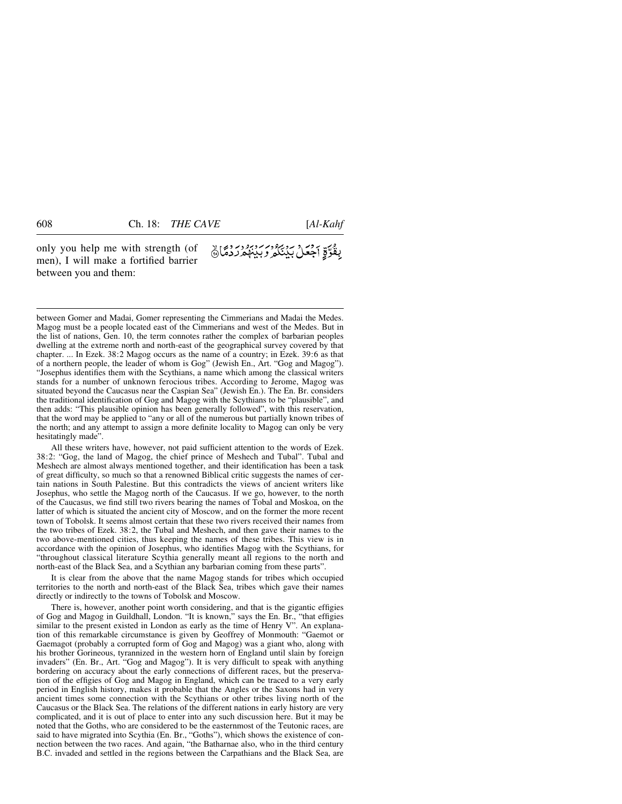only you help me with strength (of men), I will make a fortified barrier between you and them:

بِقُوَّةِ أَجْعَلْ بَدْيَكُمْ وَبِيبِهِمْ رَدْمًا ﴾

between Gomer and Madai, Gomer representing the Cimmerians and Madai the Medes. Magog must be a people located east of the Cimmerians and west of the Medes. But in the list of nations, Gen. 10, the term connotes rather the complex of barbarian peoples dwelling at the extreme north and north-east of the geographical survey covered by that chapter. ... In Ezek. 38:2 Magog occurs as the name of a country; in Ezek. 39:6 as that of a northern people, the leader of whom is Gog" (Jewish En., Art. "Gog and Magog"). "Josephus identifies them with the Scythians, a name which among the classical writers stands for a number of unknown ferocious tribes. According to Jerome, Magog was situated beyond the Caucasus near the Caspian Sea" (Jewish En.). The En. Br. considers the traditional identification of Gog and Magog with the Scythians to be "plausible", and then adds: "This plausible opinion has been generally followed", with this reservation, that the word may be applied to "any or all of the numerous but partially known tribes of the north; and any attempt to assign a more definite locality to Magog can only be very hesitatingly made".

All these writers have, however, not paid sufficient attention to the words of Ezek. 38:2: "Gog, the land of Magog, the chief prince of Meshech and Tubal". Tubal and Meshech are almost always mentioned together, and their identification has been a task of great difficulty, so much so that a renowned Biblical critic suggests the names of certain nations in South Palestine. But this contradicts the views of ancient writers like Josephus, who settle the Magog north of the Caucasus. If we go, however, to the north of the Caucasus, we find still two rivers bearing the names of Tobal and Moskoa, on the latter of which is situated the ancient city of Moscow, and on the former the more recent town of Tobolsk. It seems almost certain that these two rivers received their names from the two tribes of Ezek. 38:2, the Tubal and Meshech, and then gave their names to the two above-mentioned cities, thus keeping the names of these tribes. This view is in accordance with the opinion of Josephus, who identifies Magog with the Scythians, for "throughout classical literature Scythia generally meant all regions to the north and north-east of the Black Sea, and a Scythian any barbarian coming from these parts".

It is clear from the above that the name Magog stands for tribes which occupied territories to the north and north-east of the Black Sea, tribes which gave their names directly or indirectly to the towns of Tobolsk and Moscow.

There is, however, another point worth considering, and that is the gigantic effigies of Gog and Magog in Guildhall, London. "It is known," says the En. Br., "that effigies similar to the present existed in London as early as the time of Henry V". An explanation of this remarkable circumstance is given by Geoffrey of Monmouth: "Gaemot or Gaemagot (probably a corrupted form of Gog and Magog) was a giant who, along with his brother Gorineous, tyrannized in the western horn of England until slain by foreign invaders" (En. Br., Art. "Gog and Magog"). It is very difficult to speak with anything bordering on accuracy about the early connections of different races, but the preservation of the effigies of Gog and Magog in England, which can be traced to a very early period in English history, makes it probable that the Angles or the Saxons had in very ancient times some connection with the Scythians or other tribes living north of the Caucasus or the Black Sea. The relations of the different nations in early history are very complicated, and it is out of place to enter into any such discussion here. But it may be noted that the Goths, who are considered to be the easternmost of the Teutonic races, are said to have migrated into Scythia (En. Br., "Goths"), which shows the existence of connection between the two races. And again, "the Batharnae also, who in the third century B.C. invaded and settled in the regions between the Carpathians and the Black Sea, are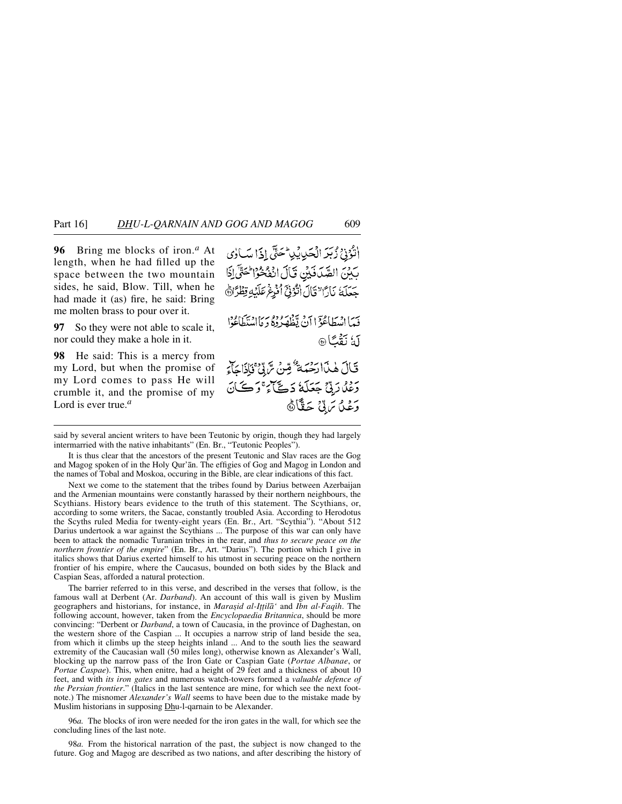**96** Bring me blocks of iron.*<sup>a</sup>* At length, when he had filled up the space between the two mountain sides, he said, Blow. Till, when he had made it (as) fire, he said: Bring me molten brass to pour over it.

**97** So they were not able to scale it, nor could they make a hole in it.

**98** He said: This is a mercy from my Lord, but when the promise of my Lord comes to pass He will crumble it, and the promise of my Lord is ever true.*<sup>a</sup>*

أَنْزُوْنِ زُبَرَ الْحَدِيثِيا حَتَّى إِذَا سَالِي بَيْنَ الصَّدَفَيْنِ قَالَ انْفُخْوُا حَتَّى لِذَا جَعَلَهُ نَارًا "قَالَ الْزُنِيِّ الْزُرِغُ عَلَيْهِ قِطْرًاهُ فَيَمَا اسْطَاعَوْ الآنُ يَظْهَرُوهُ وَمَا اسْتَطَاعُوا آهُ نَقْبًا® قَالَ هٰذَاارَحَمَهُ ۗ قِنْ سَّ بِّيَ قَاٰذَاجَآءَ رَعْلُارَتِينَ جَعَلَةُ دَكَّيْ أَءَ وَكَمَانَ وَعْدًا تَرَبِّيٌّ حَقًّا َّهَ

said by several ancient writers to have been Teutonic by origin, though they had largely intermarried with the native inhabitants" (En. Br., "Teutonic Peoples").

It is thus clear that the ancestors of the present Teutonic and Slav races are the Gog and Magog spoken of in the Holy Qur'ån. The effigies of Gog and Magog in London and the names of Tobal and Moskoa, occuring in the Bible, are clear indications of this fact.

Next we come to the statement that the tribes found by Darius between Azerbaijan and the Armenian mountains were constantly harassed by their northern neighbours, the Scythians. History bears evidence to the truth of this statement. The Scythians, or, according to some writers, the Sacae, constantly troubled Asia. According to Herodotus the Scyths ruled Media for twenty-eight years (En. Br., Art. "Scythia"). "About 512 Darius undertook a war against the Scythians ... The purpose of this war can only have been to attack the nomadic Turanian tribes in the rear, and *thus to secure peace on the northern frontier of the empire*" (En. Br., Art. "Darius"). The portion which I give in italics shows that Darius exerted himself to his utmost in securing peace on the northern frontier of his empire, where the Caucasus, bounded on both sides by the Black and Caspian Seas, afforded a natural protection.

The barrier referred to in this verse, and described in the verses that follow, is the famous wall at Derbent (Ar. *Darband*). An account of this wall is given by Muslim geographers and historians, for instance, in *Marasid al-Ittila<sup>\*</sup>* and *Ibn al-Faqih*. The following account, however, taken from the *Encyclopaedia Britannica*, should be more convincing: "Derbent or *Darband*, a town of Caucasia, in the province of Daghestan, on the western shore of the Caspian ... It occupies a narrow strip of land beside the sea, from which it climbs up the steep heights inland ... And to the south lies the seaward extremity of the Caucasian wall (50 miles long), otherwise known as Alexander's Wall, blocking up the narrow pass of the Iron Gate or Caspian Gate (*Portae Albanae*, or *Portae Caspae*). This, when enitre, had a height of 29 feet and a thickness of about 10 feet, and with *its iron gates* and numerous watch-towers formed a *valuable defence of the Persian frontier*." (Italics in the last sentence are mine, for which see the next footnote.) The misnomer *Alexander's Wall* seems to have been due to the mistake made by Muslim historians in supposing Dhu-l-qarnain to be Alexander.

96*a.* The blocks of iron were needed for the iron gates in the wall, for which see the concluding lines of the last note.

98*a.* From the historical narration of the past, the subject is now changed to the future. Gog and Magog are described as two nations, and after describing the history of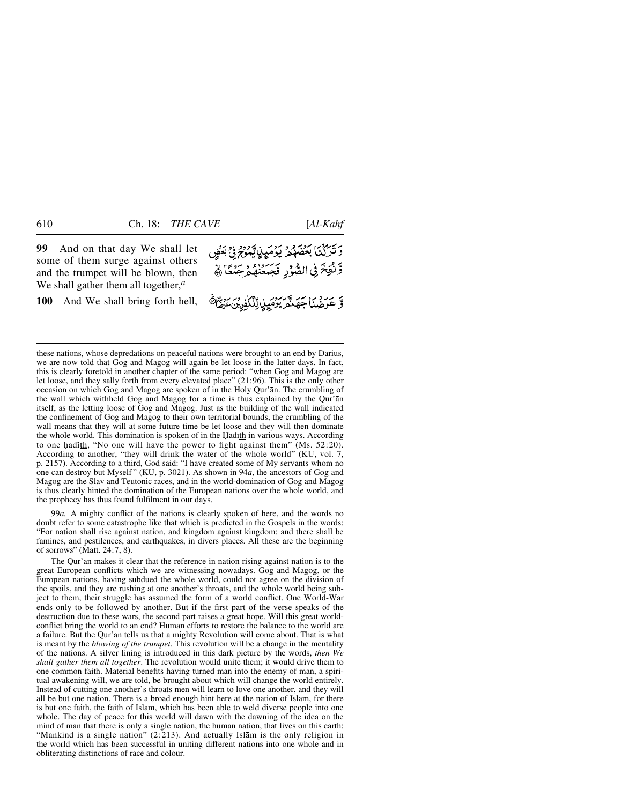**99** And on that day We shall let some of them surge against others and the trumpet will be blown, then We shall gather them all together,*<sup>a</sup>*

**100** And We shall bring forth hell,

*- ئارادىي بود و دۇمپ*رپ<sub>ا</sub>يْمُوجْ فِي بَعْضٍ وَّنُفِخَ فِي الصُّوْرِ فَجَبَعْنُهُمْ جَنْعًا ﴾ وَ عَرَضْنَا جِهَدَّهُ يَوْمَيِنِا لِّلْكُفُونُ عِنْ هَذَا لَهُ

these nations, whose depredations on peaceful nations were brought to an end by Darius, we are now told that Gog and Magog will again be let loose in the latter days. In fact, this is clearly foretold in another chapter of the same period: "when Gog and Magog are let loose, and they sally forth from every elevated place" (21:96). This is the only other occasion on which Gog and Magog are spoken of in the Holy Qur'ån. The crumbling of the wall which withheld Gog and Magog for a time is thus explained by the Qur'ån itself, as the letting loose of Gog and Magog. Just as the building of the wall indicated the confinement of Gog and Magog to their own territorial bounds, the crumbling of the wall means that they will at some future time be let loose and they will then dominate the whole world. This domination is spoken of in the Hadith in various ways. According to one hadith, "No one will have the power to fight against them" (Ms.  $52:20$ ). According to another, "they will drink the water of the whole world" (KU, vol. 7, p. 2157). According to a third, God said: "I have created some of My servants whom no one can destroy but Myself " (KU, p. 3021). As shown in 94*a*, the ancestors of Gog and Magog are the Slav and Teutonic races, and in the world-domination of Gog and Magog is thus clearly hinted the domination of the European nations over the whole world, and the prophecy has thus found fulfilment in our days.

99*a.* A mighty conflict of the nations is clearly spoken of here, and the words no doubt refer to some catastrophe like that which is predicted in the Gospels in the words: "For nation shall rise against nation, and kingdom against kingdom: and there shall be famines, and pestilences, and earthquakes, in divers places. All these are the beginning of sorrows" (Matt. 24:7, 8).

The Qur'ån makes it clear that the reference in nation rising against nation is to the great European conflicts which we are witnessing nowadays. Gog and Magog, or the European nations, having subdued the whole world, could not agree on the division of the spoils, and they are rushing at one another's throats, and the whole world being subject to them, their struggle has assumed the form of a world conflict. One World-War ends only to be followed by another. But if the first part of the verse speaks of the destruction due to these wars, the second part raises a great hope. Will this great worldconflict bring the world to an end? Human efforts to restore the balance to the world are a failure. But the Qur'ån tells us that a mighty Revolution will come about. That is what is meant by the *blowing of the trumpet*. This revolution will be a change in the mentality of the nations. A silver lining is introduced in this dark picture by the words, *then We shall gather them all together*. The revolution would unite them; it would drive them to one common faith. Material benefits having turned man into the enemy of man, a spiritual awakening will, we are told, be brought about which will change the world entirely. Instead of cutting one another's throats men will learn to love one another, and they will all be but one nation. There is a broad enough hint here at the nation of Islåm, for there is but one faith, the faith of Islåm, which has been able to weld diverse people into one whole. The day of peace for this world will dawn with the dawning of the idea on the mind of man that there is only a single nation, the human nation, that lives on this earth: "Mankind is a single nation" (2:213). And actually Islåm is the only religion in the world which has been successful in uniting different nations into one whole and in obliterating distinctions of race and colour.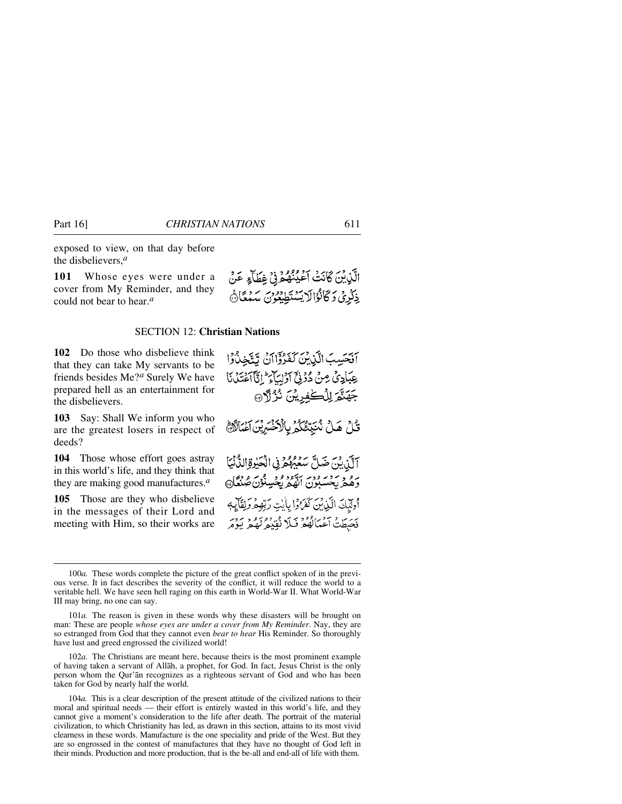exposed to view, on that day before the disbelievers,*<sup>a</sup>*

**101** Whose eyes were under a cover from My Reminder, and they could not bear to hear.*<sup>a</sup>*

#### SECTION 12: **Christian Nations**

**102** Do those who disbelieve think that they can take My servants to be friends besides Me?*<sup>a</sup>* Surely We have prepared hell as an entertainment for the disbelievers.

**103** Say: Shall We inform you who are the greatest losers in respect of deeds?

**104** Those whose effort goes astray in this world's life, and they think that they are making good manufactures.*<sup>a</sup>*

**105** Those are they who disbelieve in the messages of their Lord and meeting with Him, so their works are

102*a.* The Christians are meant here, because theirs is the most prominent example of having taken a servant of Allåh, a prophet, for God. In fact, Jesus Christ is the only person whom the Qur'ån recognizes as a righteous servant of God and who has been taken for God by nearly half the world.

104*a.* This is a clear description of the present attitude of the civilized nations to their moral and spiritual needs — their effort is entirely wasted in this world's life, and they cannot give a moment's consideration to the life after death. The portrait of the material civilization, to which Christianity has led, as drawn in this section, attains to its most vivid clearness in these words. Manufacture is the one speciality and pride of the West. But they are so engrossed in the contest of manufactures that they have no thought of God left in their minds. Production and more production, that is the be-all and end-all of life with them.

الَّذِيْنَ كَانَتْ أَعْيُنْهُمْ فِي غِطَاءٍ عَنْ ذِكْرِيْ وَكَانْوَالَا يَسْتَطِيعُونَ سَهْكَانَ

آفَحَسِبَ الَّذِينَ كَفَرُوْٓاأَنْ تَتَّخِذُوْاً عِبَادِيٌ مِنْ دُرُوْحٌ آَرُلِيَآءَ ۚ إِنَّآ ٱخْتَلَىٰٓنَا

جَهَنَّمَ لِلْكُفِرِيْنَ نُزُلَانَ

قُلْ هَلْ نُنَبِّئُكُمُ بِالْآَخَسَرِيْنَ آَغْبَالُآَهُ آلَّذِينَ ضَلَّ سَعَيْهُمْ فِي الْحَيْرِةِ الدَّنْيَا برو بردير وبرسود و ديميائون گردي.<br>وهغر پخسبون انهغر پخسنون گردي. أُولَيْكَ الَّذِينَ كَفَرُوْا بِأَيْتِ رَبِّهِهِ وَلِقَائِهِم فَحَبِطَتْ آَعْمَالُهُمْ فَبَلَا نُقِيْعُ لَهُعْ يَوْمَر

<sup>100</sup>*a.* These words complete the picture of the great conflict spoken of in the previous verse. It in fact describes the severity of the conflict, it will reduce the world to a veritable hell. We have seen hell raging on this earth in World-War II. What World-War III may bring, no one can say.

<sup>101</sup>*a.* The reason is given in these words why these disasters will be brought on man: These are people *whose eyes are under a cover from My Reminder*. Nay, they are so estranged from God that they cannot even *bear to hear* His Reminder. So thoroughly have lust and greed engrossed the civilized world!